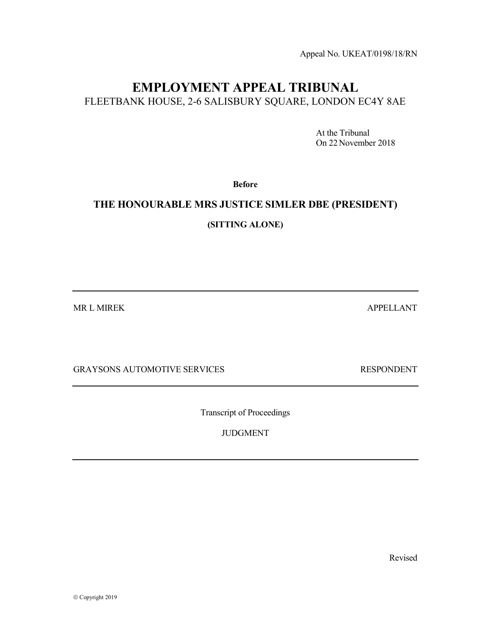Appeal No. UKEAT/0198/18/RN

# EMPLOYMENT APPEAL TRIBUNAL FLEETBANK HOUSE, 2-6 SALISBURY SQUARE, LONDON EC4Y 8AE

 At the Tribunal On 22November 2018

Before

## THE HONOURABLE MRS JUSTICE SIMLER DBE (PRESIDENT)

(SITTING ALONE)

MR L MIREK APPELLANT

GRAYSONS AUTOMOTIVE SERVICES RESPONDENT

Transcript of Proceedings

JUDGMENT

Revised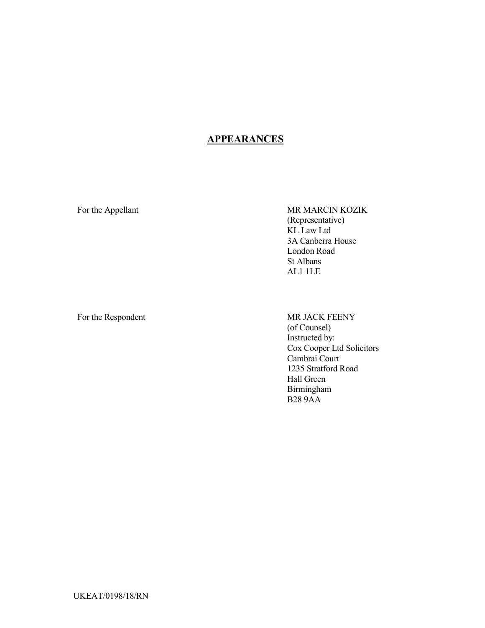## **APPEARANCES**

For the Appellant MR MARCIN KOZIK (Representative) KL Law Ltd 3A Canberra House London Road St Albans AL1 1LE

For the Respondent MR JACK FEENY (of Counsel) Instructed by: Cox Cooper Ltd Solicitors Cambrai Court 1235 Stratford Road Hall Green Birmingham B28 9AA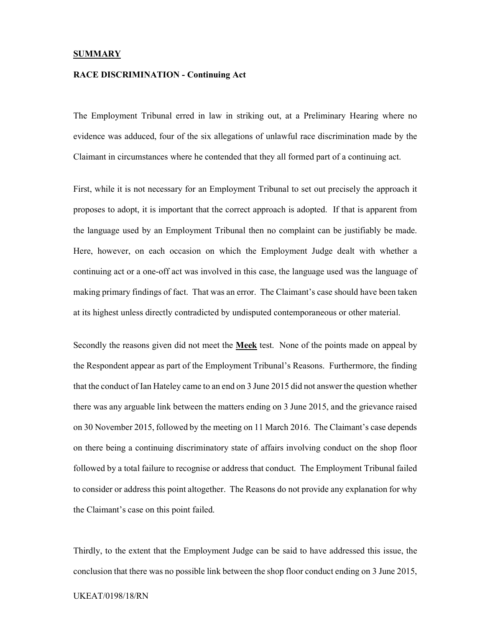#### **SUMMARY**

#### RACE DISCRIMINATION - Continuing Act

The Employment Tribunal erred in law in striking out, at a Preliminary Hearing where no evidence was adduced, four of the six allegations of unlawful race discrimination made by the Claimant in circumstances where he contended that they all formed part of a continuing act.

First, while it is not necessary for an Employment Tribunal to set out precisely the approach it proposes to adopt, it is important that the correct approach is adopted. If that is apparent from the language used by an Employment Tribunal then no complaint can be justifiably be made. Here, however, on each occasion on which the Employment Judge dealt with whether a continuing act or a one-off act was involved in this case, the language used was the language of making primary findings of fact. That was an error. The Claimant's case should have been taken at its highest unless directly contradicted by undisputed contemporaneous or other material.

Secondly the reasons given did not meet the Meek test. None of the points made on appeal by the Respondent appear as part of the Employment Tribunal's Reasons. Furthermore, the finding that the conduct of Ian Hateley came to an end on 3 June 2015 did not answer the question whether there was any arguable link between the matters ending on 3 June 2015, and the grievance raised on 30 November 2015, followed by the meeting on 11 March 2016. The Claimant's case depends on there being a continuing discriminatory state of affairs involving conduct on the shop floor followed by a total failure to recognise or address that conduct. The Employment Tribunal failed to consider or address this point altogether. The Reasons do not provide any explanation for why the Claimant's case on this point failed.

Thirdly, to the extent that the Employment Judge can be said to have addressed this issue, the conclusion that there was no possible link between the shop floor conduct ending on 3 June 2015,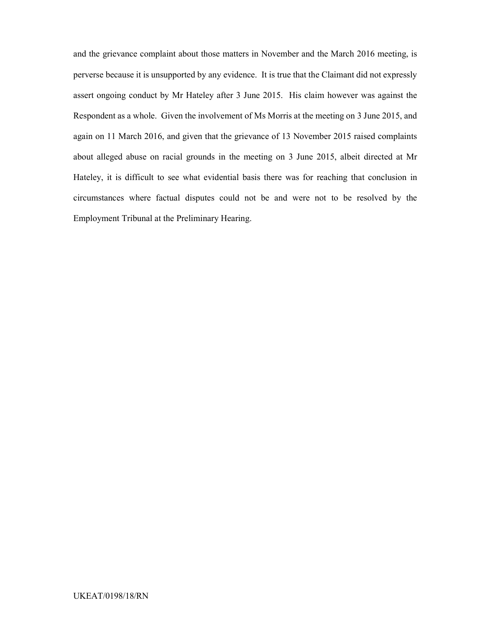and the grievance complaint about those matters in November and the March 2016 meeting, is perverse because it is unsupported by any evidence. It is true that the Claimant did not expressly assert ongoing conduct by Mr Hateley after 3 June 2015. His claim however was against the Respondent as a whole. Given the involvement of Ms Morris at the meeting on 3 June 2015, and again on 11 March 2016, and given that the grievance of 13 November 2015 raised complaints about alleged abuse on racial grounds in the meeting on 3 June 2015, albeit directed at Mr Hateley, it is difficult to see what evidential basis there was for reaching that conclusion in circumstances where factual disputes could not be and were not to be resolved by the Employment Tribunal at the Preliminary Hearing.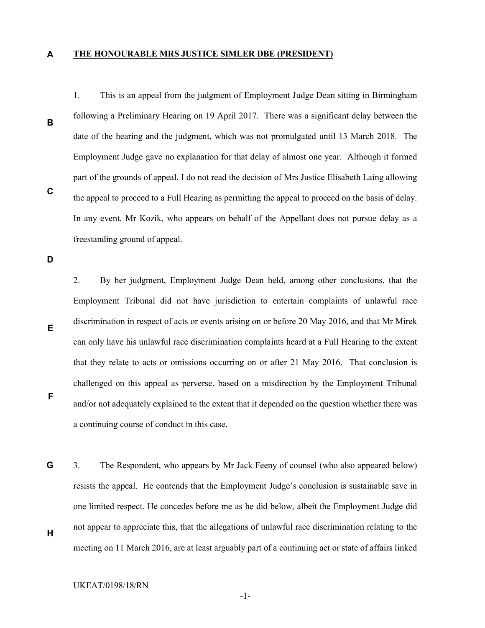A

#### THE HONOURABLE MRS JUSTICE SIMLER DBE (PRESIDENT)

1. This is an appeal from the judgment of Employment Judge Dean sitting in Birmingham

following a Preliminary Hearing on 19 April 2017. There was a significant delay between the

date of the hearing and the judgment, which was not promulgated until 13 March 2018. The

Employment Judge gave no explanation for that delay of almost one year. Although it formed

part of the grounds of appeal, I do not read the decision of Mrs Justice Elisabeth Laing allowing

the appeal to proceed to a Full Hearing as permitting the appeal to proceed on the basis of delay.

In any event, Mr Kozik, who appears on behalf of the Appellant does not pursue delay as a

C

B

D

freestanding ground of appeal.

E

F

G

2. By her judgment, Employment Judge Dean held, among other conclusions, that the Employment Tribunal did not have jurisdiction to entertain complaints of unlawful race discrimination in respect of acts or events arising on or before 20 May 2016, and that Mr Mirek can only have his unlawful race discrimination complaints heard at a Full Hearing to the extent that they relate to acts or omissions occurring on or after 21 May 2016. That conclusion is challenged on this appeal as perverse, based on a misdirection by the Employment Tribunal and/or not adequately explained to the extent that it depended on the question whether there was a continuing course of conduct in this case.

3. The Respondent, who appears by Mr Jack Feeny of counsel (who also appeared below) resists the appeal. He contends that the Employment Judge's conclusion is sustainable save in one limited respect. He concedes before me as he did below, albeit the Employment Judge did not appear to appreciate this, that the allegations of unlawful race discrimination relating to the meeting on 11 March 2016, are at least arguably part of a continuing act or state of affairs linked

H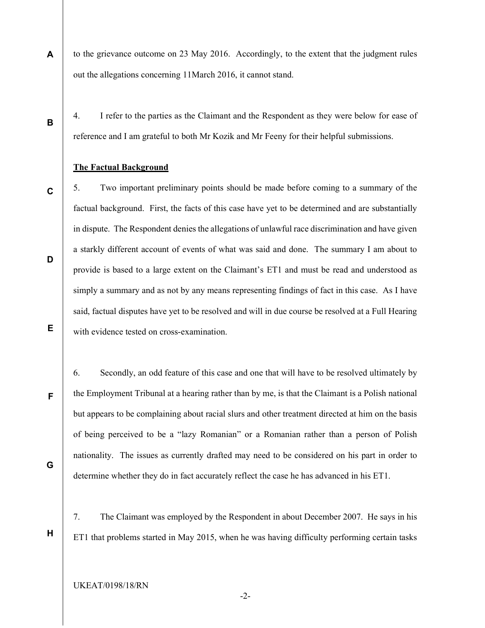- to the grievance outcome on 23 May 2016. Accordingly, to the extent that the judgment rules out the allegations concerning 11March 2016, it cannot stand.
- B

4. I refer to the parties as the Claimant and the Respondent as they were below for ease of reference and I am grateful to both Mr Kozik and Mr Feeny for their helpful submissions.

### The Factual Background

5. Two important preliminary points should be made before coming to a summary of the factual background. First, the facts of this case have yet to be determined and are substantially in dispute. The Respondent denies the allegations of unlawful race discrimination and have given a starkly different account of events of what was said and done. The summary I am about to provide is based to a large extent on the Claimant's ET1 and must be read and understood as simply a summary and as not by any means representing findings of fact in this case. As I have said, factual disputes have yet to be resolved and will in due course be resolved at a Full Hearing with evidence tested on cross-examination.

6. Secondly, an odd feature of this case and one that will have to be resolved ultimately by the Employment Tribunal at a hearing rather than by me, is that the Claimant is a Polish national but appears to be complaining about racial slurs and other treatment directed at him on the basis of being perceived to be a "lazy Romanian" or a Romanian rather than a person of Polish nationality. The issues as currently drafted may need to be considered on his part in order to determine whether they do in fact accurately reflect the case he has advanced in his ET1.

7. The Claimant was employed by the Respondent in about December 2007. He says in his ET1 that problems started in May 2015, when he was having difficulty performing certain tasks

-2-

UKEAT/0198/18/RN

A

D

C

E

F

H

G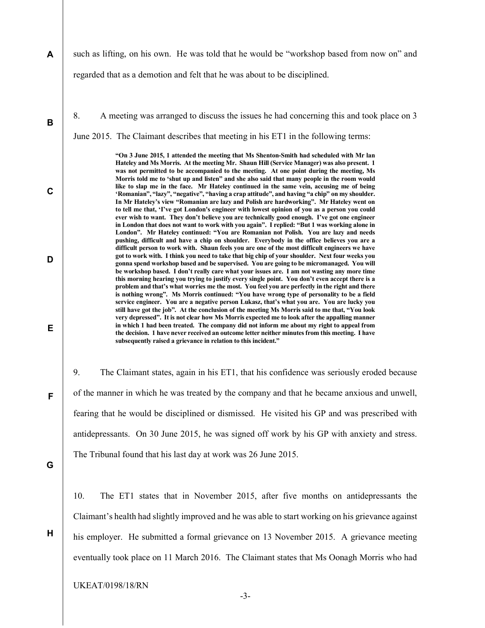- A such as lifting, on his own. He was told that he would be "workshop based from now on" and regarded that as a demotion and felt that he was about to be disciplined.
	- 8. A meeting was arranged to discuss the issues he had concerning this and took place on 3 June 2015. The Claimant describes that meeting in his ET1 in the following terms:

"On 3 June 2015, 1 attended the meeting that Ms Shenton-Smith had scheduled with Mr lan Hateley and Ms Morris. At the meeting Mr. Shaun Hill (Service Manager) was also present. 1 was not permitted to be accompanied to the meeting. At one point during the meeting, Ms Morris told me to 'shut up and listen" and she also said that many people in the room would like to slap me in the face. Mr Hateley continued in the same vein, accusing me of being 'Romanian", "lazy", "negative", "having a crap attitude", and having "a chip" on my shoulder. In Mr Hateley's view "Romanian are lazy and Polish are hardworking". Mr Hateley went on to tell me that, 'I've got London's engineer with lowest opinion of you as a person you could ever wish to want. They don't believe you are technically good enough. I've got one engineer in London that does not want to work with you again". I replied: "But 1 was working alone in London". Mr Hateley continued: "You are Romanian not Polish. You are lazy and needs pushing, difficult and have a chip on shoulder. Everybody in the office believes you are a difficult person to work with. Shaun feels you are one of the most difficult engineers we have got to work with. I think you need to take that big chip of your shoulder. Next four weeks you gonna spend workshop based and be supervised. You are going to be micromanaged. You will be workshop based. I don't really care what your issues are. I am not wasting any more time this morning hearing you trying to justify every single point. You don't even accept there is a problem and that's what worries me the most. You feel you are perfectly in the right and there is nothing wrong". Ms Morris continued: "You have wrong type of personality to be a field service engineer. You are a negative person Lukasz, that's what you are. You are lucky you still have got the job". At the conclusion of the meeting Ms Morris said to me that, "You look very depressed". It is not clear how Ms Morris expected me to look after the appalling manner in which 1 had been treated. The company did not inform me about my right to appeal from the decision. 1 have never received an outcome letter neither minutes from this meeting. I have subsequently raised a grievance in relation to this incident."

9. The Claimant states, again in his ET1, that his confidence was seriously eroded because of the manner in which he was treated by the company and that he became anxious and unwell, fearing that he would be disciplined or dismissed. He visited his GP and was prescribed with antidepressants. On 30 June 2015, he was signed off work by his GP with anxiety and stress. The Tribunal found that his last day at work was 26 June 2015.

G

H

B

C

D

E

F

10. The ET1 states that in November 2015, after five months on antidepressants the Claimant's health had slightly improved and he was able to start working on his grievance against his employer. He submitted a formal grievance on 13 November 2015. A grievance meeting eventually took place on 11 March 2016. The Claimant states that Ms Oonagh Morris who had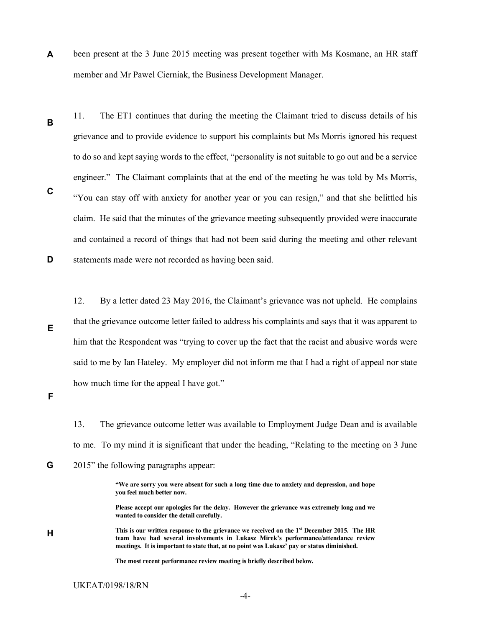A been present at the 3 June 2015 meeting was present together with Ms Kosmane, an HR staff member and Mr Pawel Cierniak, the Business Development Manager.

B

C

D

E

11. The ET1 continues that during the meeting the Claimant tried to discuss details of his grievance and to provide evidence to support his complaints but Ms Morris ignored his request to do so and kept saying words to the effect, "personality is not suitable to go out and be a service engineer." The Claimant complaints that at the end of the meeting he was told by Ms Morris, "You can stay off with anxiety for another year or you can resign," and that she belittled his claim. He said that the minutes of the grievance meeting subsequently provided were inaccurate and contained a record of things that had not been said during the meeting and other relevant statements made were not recorded as having been said.

12. By a letter dated 23 May 2016, the Claimant's grievance was not upheld. He complains that the grievance outcome letter failed to address his complaints and says that it was apparent to him that the Respondent was "trying to cover up the fact that the racist and abusive words were said to me by Ian Hateley. My employer did not inform me that I had a right of appeal nor state how much time for the appeal I have got."

F

G

H

13. The grievance outcome letter was available to Employment Judge Dean and is available to me. To my mind it is significant that under the heading, "Relating to the meeting on 3 June 2015" the following paragraphs appear:

> "We are sorry you were absent for such a long time due to anxiety and depression, and hope you feel much better now.

> Please accept our apologies for the delay. However the grievance was extremely long and we wanted to consider the detail carefully.

This is our written response to the grievance we received on the 1<sup>st</sup> December 2015. The HR team have had several involvements in Lukasz Mirek's performance/attendance review meetings. It is important to state that, at no point was Lukasz' pay or status diminished.

The most recent performance review meeting is briefly described below.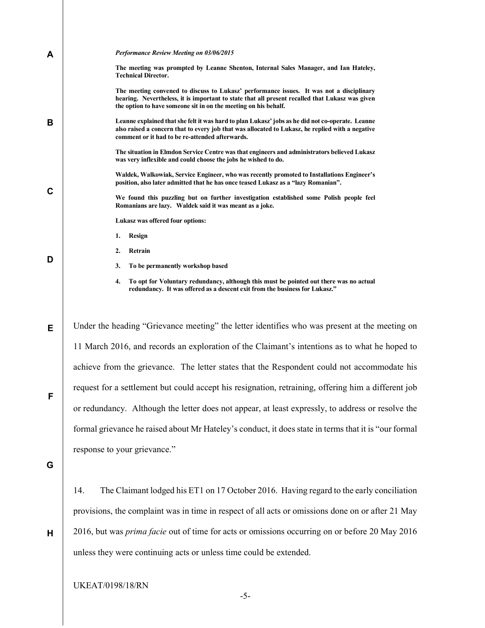| A           | Performance Review Meeting on 03/06/2015                                                                                                                                                                                                                       |
|-------------|----------------------------------------------------------------------------------------------------------------------------------------------------------------------------------------------------------------------------------------------------------------|
|             | The meeting was prompted by Leanne Shenton, Internal Sales Manager, and Ian Hateley,<br><b>Technical Director.</b>                                                                                                                                             |
|             | The meeting convened to discuss to Lukasz' performance issues. It was not a disciplinary<br>hearing. Nevertheless, it is important to state that all present recalled that Lukasz was given<br>the option to have someone sit in on the meeting on his behalf. |
| B           | Leanne explained that she felt it was hard to plan Lukasz' jobs as he did not co-operate. Leanne<br>also raised a concern that to every job that was allocated to Lukasz, he replied with a negative<br>comment or it had to be re-attended afterwards.        |
|             | The situation in Elmdon Service Centre was that engineers and administrators believed Lukasz<br>was very inflexible and could choose the jobs he wished to do.                                                                                                 |
| $\mathbf c$ | Waldek, Walkowiak, Service Engineer, who was recently promoted to Installations Engineer's<br>position, also later admitted that he has once teased Lukasz as a "lazy Romanian".                                                                               |
|             | We found this puzzling but on further investigation established some Polish people feel<br>Romanians are lazy. Waldek said it was meant as a joke.                                                                                                             |
|             | Lukasz was offered four options:                                                                                                                                                                                                                               |
|             | 1.<br>Resign                                                                                                                                                                                                                                                   |
| D           | Retrain<br>2.                                                                                                                                                                                                                                                  |
|             | 3.<br>To be permanently workshop based                                                                                                                                                                                                                         |
|             | 4.<br>To opt for Voluntary redundancy, although this must be pointed out there was no actual<br>redundancy. It was offered as a descent exit from the business for Lukasz."                                                                                    |
| Е           | Under the heading "Grievance meeting" the letter identifies who was present at the meeting on                                                                                                                                                                  |
|             | 11 March 2016, and records an exploration of the Claimant's intentions as to what he hoped to                                                                                                                                                                  |
|             | achieve from the grievance. The letter states that the Respondent could not accommodate his                                                                                                                                                                    |
| F           | request for a settlement but could accept his resignation, retraining, offering him a different job                                                                                                                                                            |
|             | or redundancy. Although the letter does not appear, at least expressly, to address or resolve the                                                                                                                                                              |
|             | formal grievance he raised about Mr Hateley's conduct, it does state in terms that it is "our formal                                                                                                                                                           |
|             | response to your grievance."                                                                                                                                                                                                                                   |
| G           |                                                                                                                                                                                                                                                                |
|             | The Claimant lodged his ET1 on 17 October 2016. Having regard to the early conciliation<br>14.                                                                                                                                                                 |
|             | provisions, the complaint was in time in respect of all acts or omissions done on or after 21 May                                                                                                                                                              |

2016, but was prima facie out of time for acts or omissions occurring on or before 20 May 2016 unless they were continuing acts or unless time could be extended.

UKEAT/0198/18/RN

H

-5-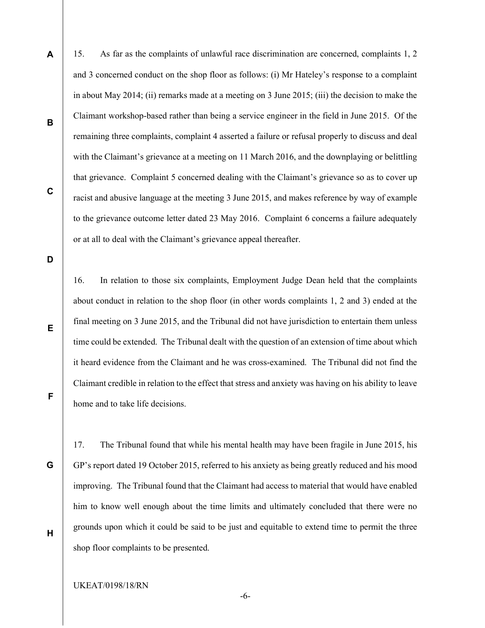A 15. As far as the complaints of unlawful race discrimination are concerned, complaints 1, 2 and 3 concerned conduct on the shop floor as follows: (i) Mr Hateley's response to a complaint in about May 2014; (ii) remarks made at a meeting on 3 June 2015; (iii) the decision to make the Claimant workshop-based rather than being a service engineer in the field in June 2015. Of the remaining three complaints, complaint 4 asserted a failure or refusal properly to discuss and deal with the Claimant's grievance at a meeting on 11 March 2016, and the downplaying or belittling that grievance. Complaint 5 concerned dealing with the Claimant's grievance so as to cover up racist and abusive language at the meeting 3 June 2015, and makes reference by way of example to the grievance outcome letter dated 23 May 2016. Complaint 6 concerns a failure adequately

or at all to deal with the Claimant's grievance appeal thereafter.

C

B

D

E

F

G

H

16. In relation to those six complaints, Employment Judge Dean held that the complaints about conduct in relation to the shop floor (in other words complaints 1, 2 and 3) ended at the final meeting on 3 June 2015, and the Tribunal did not have jurisdiction to entertain them unless time could be extended. The Tribunal dealt with the question of an extension of time about which it heard evidence from the Claimant and he was cross-examined. The Tribunal did not find the Claimant credible in relation to the effect that stress and anxiety was having on his ability to leave home and to take life decisions.

17. The Tribunal found that while his mental health may have been fragile in June 2015, his GP's report dated 19 October 2015, referred to his anxiety as being greatly reduced and his mood improving. The Tribunal found that the Claimant had access to material that would have enabled him to know well enough about the time limits and ultimately concluded that there were no grounds upon which it could be said to be just and equitable to extend time to permit the three shop floor complaints to be presented.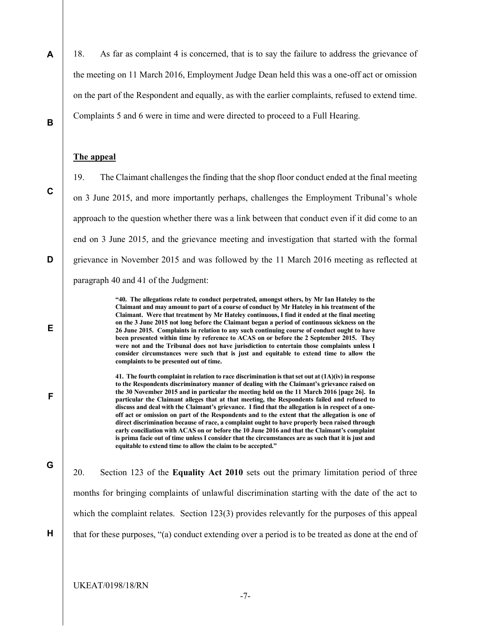18. As far as complaint 4 is concerned, that is to say the failure to address the grievance of the meeting on 11 March 2016, Employment Judge Dean held this was a one-off act or omission on the part of the Respondent and equally, as with the earlier complaints, refused to extend time. Complaints 5 and 6 were in time and were directed to proceed to a Full Hearing.

#### The appeal

19. The Claimant challenges the finding that the shop floor conduct ended at the final meeting on 3 June 2015, and more importantly perhaps, challenges the Employment Tribunal's whole approach to the question whether there was a link between that conduct even if it did come to an end on 3 June 2015, and the grievance meeting and investigation that started with the formal grievance in November 2015 and was followed by the 11 March 2016 meeting as reflected at paragraph 40 and 41 of the Judgment:

> "40. The allegations relate to conduct perpetrated, amongst others, by Mr Ian Hateley to the Claimant and may amount to part of a course of conduct by Mr Hateley in his treatment of the Claimant. Were that treatment by Mr Hateley continuous, I find it ended at the final meeting on the 3 June 2015 not long before the Claimant began a period of continuous sickness on the 26 June 2015. Complaints in relation to any such continuing course of conduct ought to have been presented within time by reference to ACAS on or before the 2 September 2015. They were not and the Tribunal does not have jurisdiction to entertain those complaints unless I consider circumstances were such that is just and equitable to extend time to allow the complaints to be presented out of time.

> 41. The fourth complaint in relation to race discrimination is that set out at  $(1A)(iv)$  in response to the Respondents discriminatory manner of dealing with the Claimant's grievance raised on the 30 November 2015 and in particular the meeting held on the 11 March 2016 [page 26]. In particular the Claimant alleges that at that meeting, the Respondents failed and refused to discuss and deal with the Claimant's grievance. I find that the allegation is in respect of a oneoff act or omission on part of the Respondents and to the extent that the allegation is one of direct discrimination because of race, a complaint ought to have properly been raised through early conciliation with ACAS on or before the 10 June 2016 and that the Claimant's complaint is prima facie out of time unless I consider that the circumstances are as such that it is just and equitable to extend time to allow the claim to be accepted."

G

H

20. Section 123 of the Equality Act 2010 sets out the primary limitation period of three months for bringing complaints of unlawful discrimination starting with the date of the act to which the complaint relates. Section 123(3) provides relevantly for the purposes of this appeal that for these purposes, "(a) conduct extending over a period is to be treated as done at the end of

C

B

A

D

E

F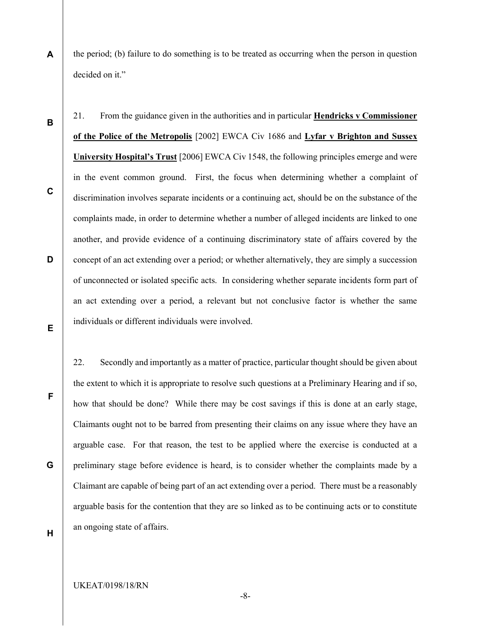A the period; (b) failure to do something is to be treated as occurring when the person in question decided on it."

21. From the guidance given in the authorities and in particular Hendricks v Commissioner of the Police of the Metropolis [2002] EWCA Civ 1686 and Lyfar v Brighton and Sussex University Hospital's Trust [2006] EWCA Civ 1548, the following principles emerge and were in the event common ground. First, the focus when determining whether a complaint of discrimination involves separate incidents or a continuing act, should be on the substance of the complaints made, in order to determine whether a number of alleged incidents are linked to one another, and provide evidence of a continuing discriminatory state of affairs covered by the concept of an act extending over a period; or whether alternatively, they are simply a succession of unconnected or isolated specific acts. In considering whether separate incidents form part of an act extending over a period, a relevant but not conclusive factor is whether the same individuals or different individuals were involved.

22. Secondly and importantly as a matter of practice, particular thought should be given about the extent to which it is appropriate to resolve such questions at a Preliminary Hearing and if so, how that should be done? While there may be cost savings if this is done at an early stage, Claimants ought not to be barred from presenting their claims on any issue where they have an arguable case. For that reason, the test to be applied where the exercise is conducted at a preliminary stage before evidence is heard, is to consider whether the complaints made by a Claimant are capable of being part of an act extending over a period. There must be a reasonably arguable basis for the contention that they are so linked as to be continuing acts or to constitute an ongoing state of affairs.

H

B

C

D

E

F

G

-8-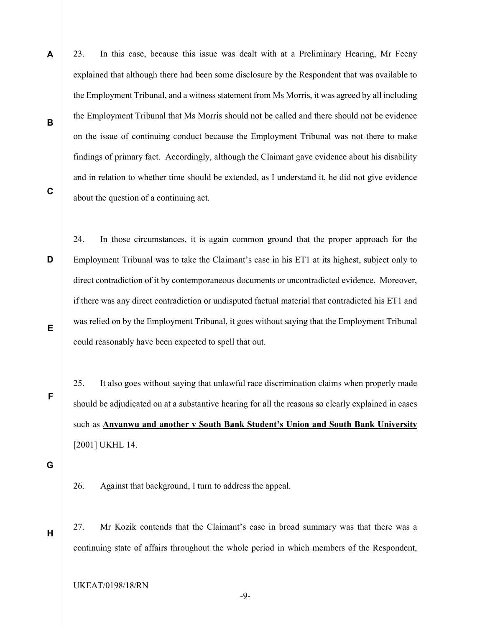- A B 23. In this case, because this issue was dealt with at a Preliminary Hearing, Mr Feeny explained that although there had been some disclosure by the Respondent that was available to the Employment Tribunal, and a witness statement from Ms Morris, it was agreed by all including the Employment Tribunal that Ms Morris should not be called and there should not be evidence on the issue of continuing conduct because the Employment Tribunal was not there to make findings of primary fact. Accordingly, although the Claimant gave evidence about his disability and in relation to whether time should be extended, as I understand it, he did not give evidence about the question of a continuing act.
- C

D E 24. In those circumstances, it is again common ground that the proper approach for the Employment Tribunal was to take the Claimant's case in his ET1 at its highest, subject only to direct contradiction of it by contemporaneous documents or uncontradicted evidence. Moreover, if there was any direct contradiction or undisputed factual material that contradicted his ET1 and was relied on by the Employment Tribunal, it goes without saying that the Employment Tribunal could reasonably have been expected to spell that out.

25. It also goes without saying that unlawful race discrimination claims when properly made should be adjudicated on at a substantive hearing for all the reasons so clearly explained in cases such as Anyanwu and another v South Bank Student's Union and South Bank University [2001] UKHL 14.

G

H

F

26. Against that background, I turn to address the appeal.

27. Mr Kozik contends that the Claimant's case in broad summary was that there was a continuing state of affairs throughout the whole period in which members of the Respondent,

UKEAT/0198/18/RN

-9-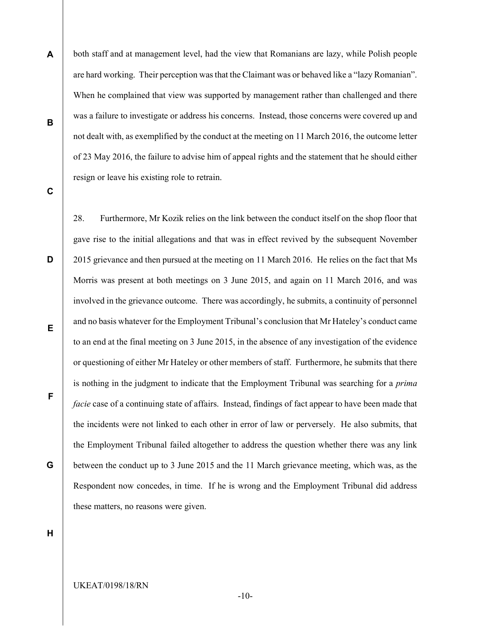- both staff and at management level, had the view that Romanians are lazy, while Polish people are hard working. Their perception was that the Claimant was or behaved like a "lazy Romanian". When he complained that view was supported by management rather than challenged and there was a failure to investigate or address his concerns. Instead, those concerns were covered up and not dealt with, as exemplified by the conduct at the meeting on 11 March 2016, the outcome letter of 23 May 2016, the failure to advise him of appeal rights and the statement that he should either resign or leave his existing role to retrain.
- C

D

A

B

E G 28. Furthermore, Mr Kozik relies on the link between the conduct itself on the shop floor that gave rise to the initial allegations and that was in effect revived by the subsequent November 2015 grievance and then pursued at the meeting on 11 March 2016. He relies on the fact that Ms Morris was present at both meetings on 3 June 2015, and again on 11 March 2016, and was involved in the grievance outcome. There was accordingly, he submits, a continuity of personnel and no basis whatever for the Employment Tribunal's conclusion that Mr Hateley's conduct came to an end at the final meeting on 3 June 2015, in the absence of any investigation of the evidence or questioning of either Mr Hateley or other members of staff. Furthermore, he submits that there is nothing in the judgment to indicate that the Employment Tribunal was searching for a *prima* facie case of a continuing state of affairs. Instead, findings of fact appear to have been made that the incidents were not linked to each other in error of law or perversely. He also submits, that the Employment Tribunal failed altogether to address the question whether there was any link between the conduct up to 3 June 2015 and the 11 March grievance meeting, which was, as the Respondent now concedes, in time. If he is wrong and the Employment Tribunal did address these matters, no reasons were given.

H

F

-10-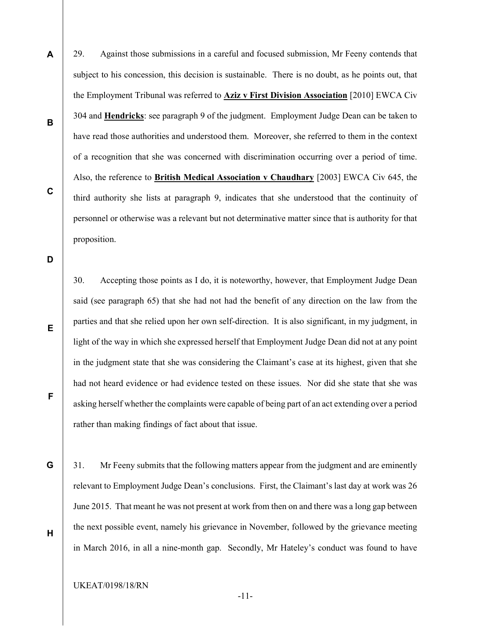29. Against those submissions in a careful and focused submission, Mr Feeny contends that subject to his concession, this decision is sustainable. There is no doubt, as he points out, that the Employment Tribunal was referred to **Aziz v First Division Association** [2010] EWCA Civ 304 and Hendricks: see paragraph 9 of the judgment. Employment Judge Dean can be taken to have read those authorities and understood them. Moreover, she referred to them in the context of a recognition that she was concerned with discrimination occurring over a period of time. Also, the reference to **British Medical Association v Chaudhary** [2003] EWCA Civ 645, the third authority she lists at paragraph 9, indicates that she understood that the continuity of personnel or otherwise was a relevant but not determinative matter since that is authority for that proposition.

D

E

F

G

H

A

B

C

30. Accepting those points as I do, it is noteworthy, however, that Employment Judge Dean said (see paragraph 65) that she had not had the benefit of any direction on the law from the parties and that she relied upon her own self-direction. It is also significant, in my judgment, in light of the way in which she expressed herself that Employment Judge Dean did not at any point in the judgment state that she was considering the Claimant's case at its highest, given that she had not heard evidence or had evidence tested on these issues. Nor did she state that she was asking herself whether the complaints were capable of being part of an act extending over a period rather than making findings of fact about that issue.

31. Mr Feeny submits that the following matters appear from the judgment and are eminently relevant to Employment Judge Dean's conclusions. First, the Claimant's last day at work was 26 June 2015. That meant he was not present at work from then on and there was a long gap between the next possible event, namely his grievance in November, followed by the grievance meeting in March 2016, in all a nine-month gap. Secondly, Mr Hateley's conduct was found to have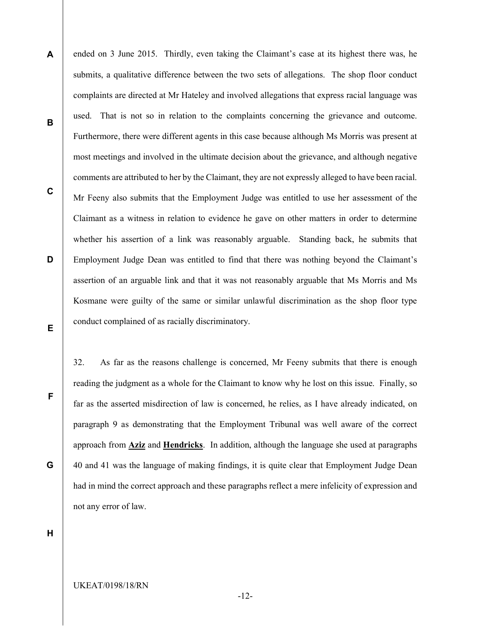A B C D E ended on 3 June 2015. Thirdly, even taking the Claimant's case at its highest there was, he submits, a qualitative difference between the two sets of allegations. The shop floor conduct complaints are directed at Mr Hateley and involved allegations that express racial language was used. That is not so in relation to the complaints concerning the grievance and outcome. Furthermore, there were different agents in this case because although Ms Morris was present at most meetings and involved in the ultimate decision about the grievance, and although negative comments are attributed to her by the Claimant, they are not expressly alleged to have been racial. Mr Feeny also submits that the Employment Judge was entitled to use her assessment of the Claimant as a witness in relation to evidence he gave on other matters in order to determine whether his assertion of a link was reasonably arguable. Standing back, he submits that Employment Judge Dean was entitled to find that there was nothing beyond the Claimant's assertion of an arguable link and that it was not reasonably arguable that Ms Morris and Ms Kosmane were guilty of the same or similar unlawful discrimination as the shop floor type conduct complained of as racially discriminatory.

32. As far as the reasons challenge is concerned, Mr Feeny submits that there is enough reading the judgment as a whole for the Claimant to know why he lost on this issue. Finally, so far as the asserted misdirection of law is concerned, he relies, as I have already indicated, on paragraph 9 as demonstrating that the Employment Tribunal was well aware of the correct approach from **Aziz** and **Hendricks**. In addition, although the language she used at paragraphs 40 and 41 was the language of making findings, it is quite clear that Employment Judge Dean had in mind the correct approach and these paragraphs reflect a mere infelicity of expression and not any error of law.

H

F

G

-12-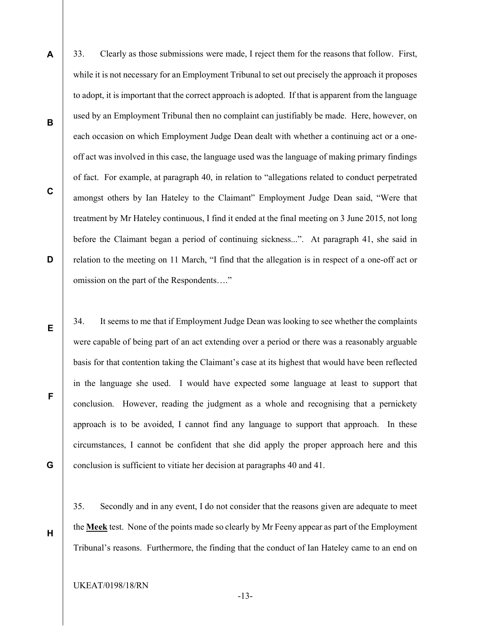- A B D 33. Clearly as those submissions were made, I reject them for the reasons that follow. First, while it is not necessary for an Employment Tribunal to set out precisely the approach it proposes to adopt, it is important that the correct approach is adopted. If that is apparent from the language used by an Employment Tribunal then no complaint can justifiably be made. Here, however, on each occasion on which Employment Judge Dean dealt with whether a continuing act or a oneoff act was involved in this case, the language used was the language of making primary findings of fact. For example, at paragraph 40, in relation to "allegations related to conduct perpetrated amongst others by Ian Hateley to the Claimant" Employment Judge Dean said, "Were that treatment by Mr Hateley continuous, I find it ended at the final meeting on 3 June 2015, not long before the Claimant began a period of continuing sickness...". At paragraph 41, she said in relation to the meeting on 11 March, "I find that the allegation is in respect of a one-off act or omission on the part of the Respondents…."
	- 34. It seems to me that if Employment Judge Dean was looking to see whether the complaints were capable of being part of an act extending over a period or there was a reasonably arguable basis for that contention taking the Claimant's case at its highest that would have been reflected in the language she used. I would have expected some language at least to support that conclusion. However, reading the judgment as a whole and recognising that a pernickety approach is to be avoided, I cannot find any language to support that approach. In these circumstances, I cannot be confident that she did apply the proper approach here and this conclusion is sufficient to vitiate her decision at paragraphs 40 and 41.
		- 35. Secondly and in any event, I do not consider that the reasons given are adequate to meet the Meek test. None of the points made so clearly by Mr Feeny appear as part of the Employment Tribunal's reasons. Furthermore, the finding that the conduct of Ian Hateley came to an end on

C

E

F

G

H

-13-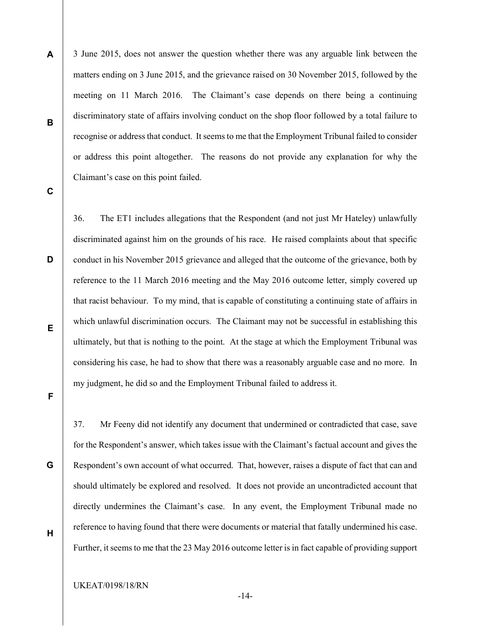A B 3 June 2015, does not answer the question whether there was any arguable link between the matters ending on 3 June 2015, and the grievance raised on 30 November 2015, followed by the meeting on 11 March 2016. The Claimant's case depends on there being a continuing discriminatory state of affairs involving conduct on the shop floor followed by a total failure to recognise or address that conduct. It seems to me that the Employment Tribunal failed to consider or address this point altogether. The reasons do not provide any explanation for why the Claimant's case on this point failed.

C

D

36. The ET1 includes allegations that the Respondent (and not just Mr Hateley) unlawfully discriminated against him on the grounds of his race. He raised complaints about that specific conduct in his November 2015 grievance and alleged that the outcome of the grievance, both by reference to the 11 March 2016 meeting and the May 2016 outcome letter, simply covered up that racist behaviour. To my mind, that is capable of constituting a continuing state of affairs in which unlawful discrimination occurs. The Claimant may not be successful in establishing this ultimately, but that is nothing to the point. At the stage at which the Employment Tribunal was considering his case, he had to show that there was a reasonably arguable case and no more. In my judgment, he did so and the Employment Tribunal failed to address it.

E

F

G

37. Mr Feeny did not identify any document that undermined or contradicted that case, save for the Respondent's answer, which takes issue with the Claimant's factual account and gives the Respondent's own account of what occurred. That, however, raises a dispute of fact that can and should ultimately be explored and resolved. It does not provide an uncontradicted account that directly undermines the Claimant's case. In any event, the Employment Tribunal made no reference to having found that there were documents or material that fatally undermined his case. Further, it seems to me that the 23 May 2016 outcome letter is in fact capable of providing support

H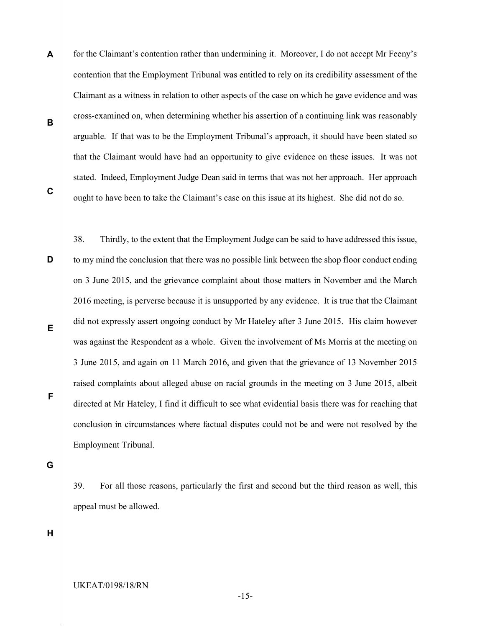A B for the Claimant's contention rather than undermining it. Moreover, I do not accept Mr Feeny's contention that the Employment Tribunal was entitled to rely on its credibility assessment of the Claimant as a witness in relation to other aspects of the case on which he gave evidence and was cross-examined on, when determining whether his assertion of a continuing link was reasonably arguable. If that was to be the Employment Tribunal's approach, it should have been stated so that the Claimant would have had an opportunity to give evidence on these issues. It was not stated. Indeed, Employment Judge Dean said in terms that was not her approach. Her approach ought to have been to take the Claimant's case on this issue at its highest. She did not do so.

C

D E F 38. Thirdly, to the extent that the Employment Judge can be said to have addressed this issue, to my mind the conclusion that there was no possible link between the shop floor conduct ending on 3 June 2015, and the grievance complaint about those matters in November and the March 2016 meeting, is perverse because it is unsupported by any evidence. It is true that the Claimant did not expressly assert ongoing conduct by Mr Hateley after 3 June 2015. His claim however was against the Respondent as a whole. Given the involvement of Ms Morris at the meeting on 3 June 2015, and again on 11 March 2016, and given that the grievance of 13 November 2015 raised complaints about alleged abuse on racial grounds in the meeting on 3 June 2015, albeit directed at Mr Hateley, I find it difficult to see what evidential basis there was for reaching that conclusion in circumstances where factual disputes could not be and were not resolved by the Employment Tribunal.

G

39. For all those reasons, particularly the first and second but the third reason as well, this appeal must be allowed.

H

UKEAT/0198/18/RN

-15-